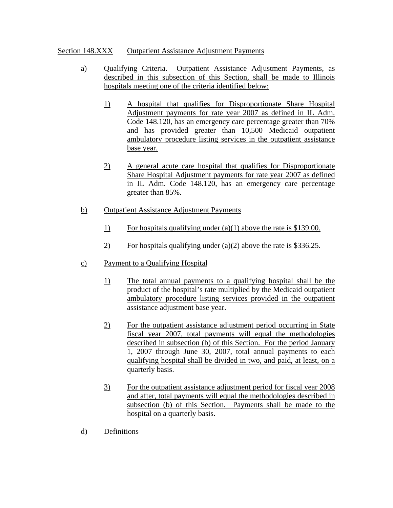## Section 148.XXX Outpatient Assistance Adjustment Payments

- a) Qualifying Criteria. Outpatient Assistance Adjustment Payments, as described in this subsection of this Section, shall be made to Illinois hospitals meeting one of the criteria identified below:
	- 1) A hospital that qualifies for Disproportionate Share Hospital Adjustment payments for rate year 2007 as defined in IL Adm. Code 148.120, has an emergency care percentage greater than 70% and has provided greater than 10,500 Medicaid outpatient ambulatory procedure listing services in the outpatient assistance base year.
	- 2) A general acute care hospital that qualifies for Disproportionate Share Hospital Adjustment payments for rate year 2007 as defined in IL Adm. Code 148.120, has an emergency care percentage greater than 85%.
- b) Outpatient Assistance Adjustment Payments
	- 1) For hospitals qualifying under (a)(1) above the rate is \$139.00.
	- 2) For hospitals qualifying under (a)(2) above the rate is \$336.25.
- c) Payment to a Qualifying Hospital
	- 1) The total annual payments to a qualifying hospital shall be the product of the hospital's rate multiplied by the Medicaid outpatient ambulatory procedure listing services provided in the outpatient assistance adjustment base year.
	- 2) For the outpatient assistance adjustment period occurring in State fiscal year 2007, total payments will equal the methodologies described in subsection (b) of this Section. For the period January 1, 2007 through June 30, 2007, total annual payments to each qualifying hospital shall be divided in two, and paid, at least, on a quarterly basis.
	- 3) For the outpatient assistance adjustment period for fiscal year 2008 and after, total payments will equal the methodologies described in subsection (b) of this Section. Payments shall be made to the hospital on a quarterly basis.
- d) Definitions